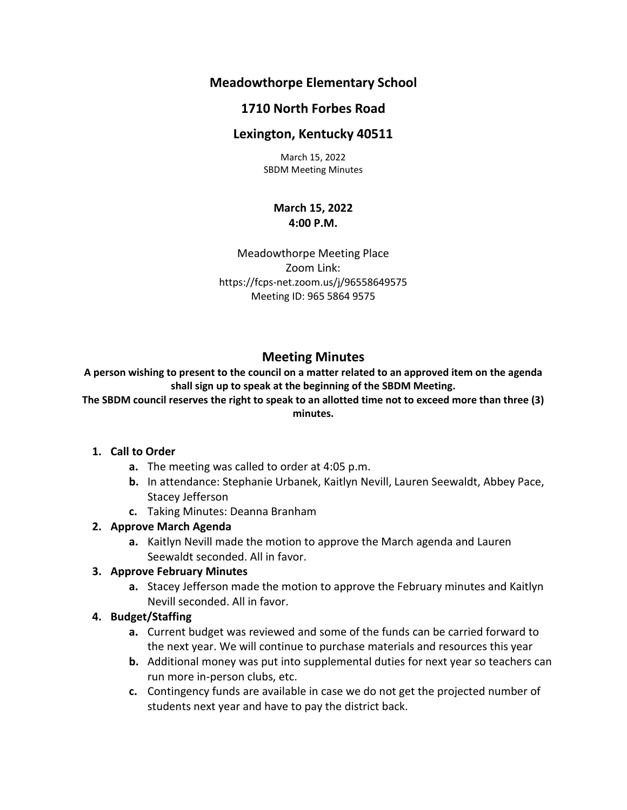# **Meadowthorpe Elementary School**

## **1710 North Forbes Road**

## **Lexington, Kentucky 40511**

March 15, 2022 SBDM Meeting Minutes

#### **March 15, 2022 4:00 P.M.**

Meadowthorpe Meeting Place Zoom Link: https://fcps-net.zoom.us/j/96558649575 Meeting ID: 965 5864 9575

# **Meeting Minutes**

**A person wishing to present to the council on a matter related to an approved item on the agenda shall sign up to speak at the beginning of the SBDM Meeting.**

**The SBDM council reserves the right to speak to an allotted time not to exceed more than three (3) minutes.**

### **1. Call to Order**

- **a.** The meeting was called to order at 4:05 p.m.
- **b.** In attendance: Stephanie Urbanek, Kaitlyn Nevill, Lauren Seewaldt, Abbey Pace, Stacey Jefferson
- **c.** Taking Minutes: Deanna Branham

### **2. Approve March Agenda**

**a.** Kaitlyn Nevill made the motion to approve the March agenda and Lauren Seewaldt seconded. All in favor.

### **3. Approve February Minutes**

**a.** Stacey Jefferson made the motion to approve the February minutes and Kaitlyn Nevill seconded. All in favor.

#### **4. Budget/Staffing**

- **a.** Current budget was reviewed and some of the funds can be carried forward to the next year. We will continue to purchase materials and resources this year
- **b.** Additional money was put into supplemental duties for next year so teachers can run more in-person clubs, etc.
- **c.** Contingency funds are available in case we do not get the projected number of students next year and have to pay the district back.